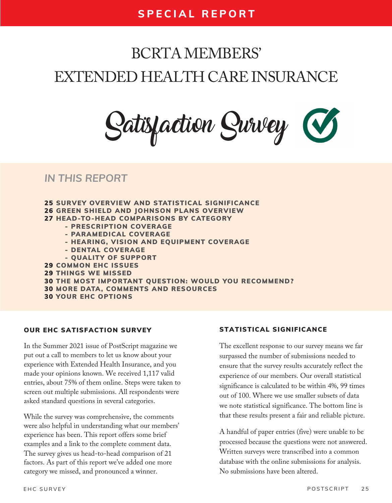# BCRTA MEMBERS' EXTENDED HEALTH CARE INSURANCE

**ll b**

Satisfaction Survey

### *IN THIS REPORT*

- 25 SURVEY OVERVIEW AND STATISTICAL SIGNIFIC 26 GREEN SHIELD AND JOHNSON PLANS OVERVIEW 27 HEAD-TO-HEAD COMPARISONS BY CATEGORY - PRESCRIPTION COVERAGE - PARAMEDICAL COVERAGE - HEARING, VISION AND EQUIPMENT COVERAGE - DENTAL COVERAGE - QUALITY OF SUPPORT 29 COMMON EHC ISSUES 29 THINGS WE MISSED 30 THE MOST IMPORTANT QUESTION: WOULD 30 MORE DATA, COMMENTS AND RESOURCES
- 30 YOUR EHC OPTIONS

#### OUR EHC SATISFACTION SURVEY

In the Summer 2021 issue of PostScript magazine we put out a call to members to let us know about your experience with Extended Health Insurance, and you made your opinions known. We received 1,117 valid entries, about 75% of them online. Steps were taken to screen out multiple submissions. All respondents were asked standard questions in several categories.

While the survey was comprehensive, the comments were also helpful in understanding what our members' experience has been. This report offers some brief examples and a link to the complete comment data. The survey gives us head-to-head comparison of 21 factors. As part of this report we've added one more category we missed, and pronounced a winner.

If you do not have EHC coverage you can skip to question4 4

#### STATISTICAL SIGNIFICANCE

The excellent response to our survey means we far surpassed the number of submissions needed to ensure that the survey results accurately reflect the experience of our members. Our overall statistical significance is calculated to be within 4%, 99 times out of 100. Where we use smaller subsets of data we note statistical significance. The bottom line is that these results present a fair and reliable picture.

A handful of paper entries (five) were unable to be processed because the questions were not answered. Written surveys were transcribed into a common database with the online submissions for analysis. No submissions have been altered.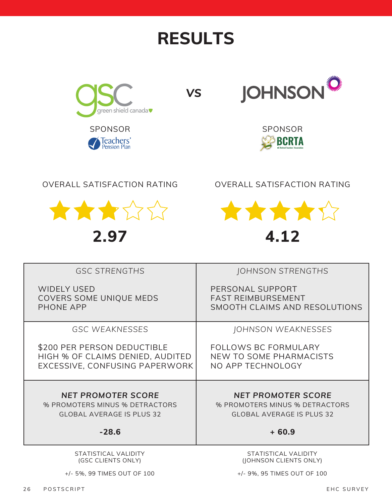# **RESULTS**



*VS*



**BCRTA BC Retired B Teachers' Association**

### OVERALL SATISFACTION RATING



**2.97**

OVERALL SATISFACTION RATING



| <b>GSC STRENGTHS</b>                                                                                       | JOHNSON STRENGTHS                                                                                          |
|------------------------------------------------------------------------------------------------------------|------------------------------------------------------------------------------------------------------------|
| <b>WIDELY USED</b><br>COVERS SOME UNIQUE MEDS<br>PHONE APP                                                 | PERSONAL SUPPORT<br><b>FAST REIMBURSEMENT</b><br>SMOOTH CLAIMS AND RESOLUTIONS                             |
|                                                                                                            |                                                                                                            |
| <b>GSC WEAKNESSES</b>                                                                                      | JOHNSON WEAKNESSES                                                                                         |
| \$200 PER PERSON DEDUCTIBLE<br>HIGH % OF CLAIMS DENIED, AUDITED<br>EXCESSIVE, CONFUSING PAPERWORK          | <b>FOLLOWS BC FORMULARY</b><br>NEW TO SOME PHARMACISTS<br>NO APP TECHNOLOGY                                |
| <b>NET PROMOTER SCORE</b><br>% PROMOTERS MINUS % DETRACTORS<br><b>GLOBAL AVERAGE IS PLUS 32</b><br>$-28.6$ | <b>NET PROMOTER SCORE</b><br>% PROMOTERS MINUS % DETRACTORS<br><b>GLOBAL AVERAGE IS PLUS 32</b><br>$+60.9$ |
|                                                                                                            |                                                                                                            |
| STATISTICAL VALIDITY<br>(GSC CLIENTS ONLY)                                                                 | STATISTICAL VALIDITY<br>(JOHNSON CLIENTS ONLY)                                                             |

+/- 5%, 99 TIMES OUT OF 100

(JOHNSON CLIENTS ONLY)

+/- 9%, 95 TIMES OUT OF 100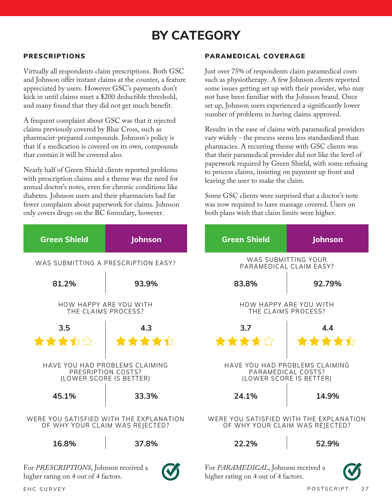## **BY CATEGORY**

#### PRESCRIPTIONS

Virtually all respondents claim prescriptions. Both GSC and Johnson offer instant claims at the counter, a feature appreciated by users. However GSC's payments don't kick in until claims meet a \$200 deductible threshold, and many found that they did not get much benefit.

A frequent complaint about GSC was that it rejected claims previously covered by Blue Cross, such as pharmacist-prepared compounds. Johnson's policy is that if a medication is covered on its own, compounds that contain it will be covered also.

Nearly half of Green Shield clients reported problems with prescription claims and a theme was the need for annual doctor's notes, even for chronic conditions like diabetes. Johnson users and their pharmacists had far fewer complaints about paperwork for claims. Johnson only covers drugs on the BC formulary, however.

#### PARAMEDICAL COVERAGE

Just over 75% of respondents claim paramedical costs such as physiotherapy. A few Johnson clients reported some issues getting set up with their provider, who may not have been familiar with the Johnson brand. Once set up, Johnson users experienced a significantly lower number of problems in having claims approved.

Results in the ease of claims with paramedical providers vary widely - the process seems less standardized than pharmacies. A recurring theme with GSC clients was that their paramedical provider did not like the level of paperwork required by Green Shield, with some refusing to process claims, insisting on payment up front and leaving the user to make the claim.

Some GSC clients were surprised that a doctor's note was now required to have massage covered. Users on both plans wish that claim limits were higher.

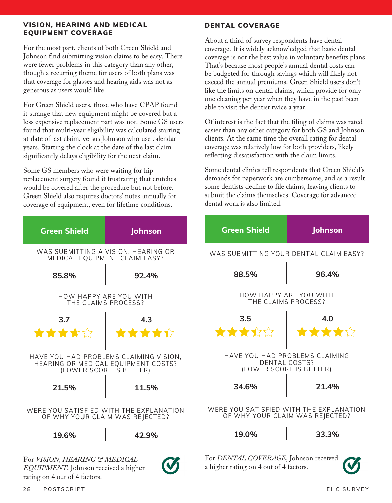#### VISION, HEARING AND MEDICAL EQUIPMENT COVERAGE

For the most part, clients of both Green Shield and Johnson find submitting vision claims to be easy. There were fewer problems in this category than any other, though a recurring theme for users of both plans was that coverage for glasses and hearing aids was not as generous as users would like.

For Green Shield users, those who have CPAP found it strange that new equipment might be covered but a less expensive replacement part was not. Some GS users found that multi-year eligibility was calculated starting at date of last claim, versus Johnson who use calendar years. Starting the clock at the date of the last claim significantly delays eligibility for the next claim.

Some GS members who were waiting for hip replacement surgery found it frustrating that crutches would be covered after the procedure but not before. Green Shield also requires doctors' notes annually for coverage of equipment, even for lifetime conditions.

#### DENTAL COVERAGE

About a third of survey respondents have dental coverage. It is widely acknowledged that basic dental coverage is not the best value in voluntary benefits plans. That's because most people's annual dental costs can be budgeted for through savings which will likely not exceed the annual premiums. Green Shield users don't like the limits on dental claims, which provide for only one cleaning per year when they have in the past been able to visit the dentist twice a year.

Of interest is the fact that the filing of claims was rated easier than any other category for both GS and Johnson clients. At the same time the overall rating for dental coverage was relatively low for both providers, likely reflecting dissatisfaction with the claim limits.

Some dental clinics tell respondents that Green Shield's demands for paperwork are cumbersome, and as a result some dentists decline to file claims, leaving clients to submit the claims themselves. Coverage for advanced dental work is also limited.

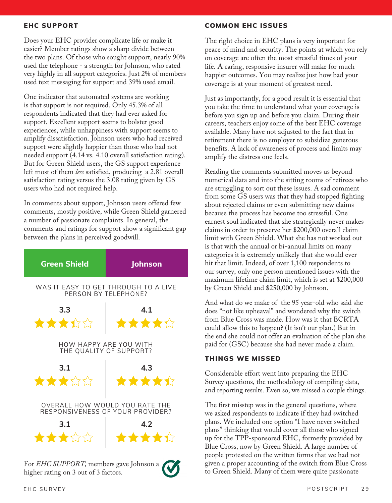#### EHC SUPPORT

Does your EHC provider complicate life or make it easier? Member ratings show a sharp divide between the two plans. Of those who sought support, nearly 90% used the telephone - a strength for Johnson, who rated very highly in all support categories. Just 2% of members used text messaging for support and 39% used email.

One indicator that automated systems are working is that support is not required. Only 45.3% of all respondents indicated that they had ever asked for support. Excellent support seems to bolster good experiences, while unhappiness with support seems to amplify dissatisfaction. Johnson users who had received support were slightly happier than those who had not needed support (4.14 vs. 4.10 overall satisfaction rating). But for Green Shield users, the GS support experience left most of them *less* satisfied, producing a 2.81 overall satisfaction rating versus the 3.08 rating given by GS users who had not required help.

In comments about support, Johnson users offered few comments, mostly positive, while Green Shield garnered a number of passionate complaints. In general, the comments and ratings for support show a significant gap between the plans in perceived goodwill.



For *EHC SUPPORT,* members gave Johnson a higher rating on 3 out of 3 factors.



The right choice in EHC plans is very important for peace of mind and security. The points at which you rely on coverage are often the most stressful times of your life. A caring, responsive insurer will make for much happier outcomes. You may realize just how bad your coverage is at your moment of greatest need.

Just as importantly, for a good result it is essential that you take the time to understand what your coverage is before you sign up and before you claim. During their careers, teachers enjoy some of the best EHC coverage available. Many have not adjusted to the fact that in retirement there is no employer to subsidize generous benefits. A lack of awareness of process and limits may amplify the distress one feels.

Reading the comments submitted moves us beyond numerical data and into the sitting rooms of retirees who are struggling to sort out these issues. A sad comment from some GS users was that they had stopped fighting about rejected claims or even submitting new claims because the process has become too stressful. One earnest soul indicated that she strategically never makes claims in order to preserve her \$200,000 overall claim limit with Green Shield. What she has not worked out is that with the annual or bi-annual limits on many categories it is extremely unlikely that she would ever hit that limit. Indeed, of over 1,100 respondents to our survey, only one person mentioned issues with the maximum lifetime claim limit, which is set at \$200,000 by Green Shield and \$250,000 by Johnson.

And what do we make of the 95 year-old who said she does "not like upheaval" and wondered why the switch from Blue Cross was made. How was it that BCRTA could allow this to happen? (It isn't our plan.) But in the end she could not offer an evaluation of the plan she paid for (GSC) because she had never made a claim.

#### THINGS WE MISSED

Considerable effort went into preparing the EHC Survey questions, the methodology of compiling data, and reporting results. Even so, we missed a couple things.

The first misstep was in the general questions, where we asked respondents to indicate if they had switched plans. We included one option "I have never switched plans" thinking that would cover all those who signed up for the TPP-sponsored EHC, formerly provided by Blue Cross, now by Green Shield. A large number of people protested on the written forms that we had not given a proper accounting of the switch from Blue Cross to Green Shield. Many of them were quite passionate